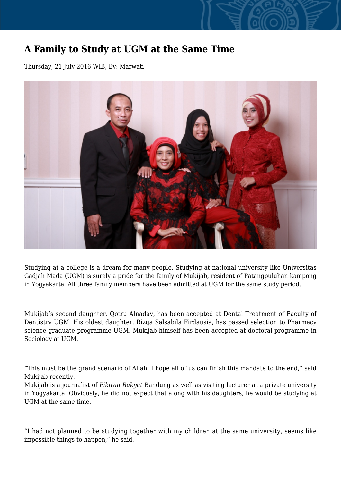## **A Family to Study at UGM at the Same Time**

Thursday, 21 July 2016 WIB, By: Marwati



Studying at a college is a dream for many people. Studying at national university like Universitas Gadjah Mada (UGM) is surely a pride for the family of Mukijab, resident of Patangpuluhan kampong in Yogyakarta. All three family members have been admitted at UGM for the same study period.

Mukijab's second daughter, Qotru Alnaday, has been accepted at Dental Treatment of Faculty of Dentistry UGM. His oldest daughter, Rizqa Salsabila Firdausia, has passed selection to Pharmacy science graduate programme UGM. Mukijab himself has been accepted at doctoral programme in Sociology at UGM.

"This must be the grand scenario of Allah. I hope all of us can finish this mandate to the end," said Mukijab recently.

Mukijab is a journalist of *Pikiran Rakyat* Bandung as well as visiting lecturer at a private university in Yogyakarta. Obviously, he did not expect that along with his daughters, he would be studying at UGM at the same time.

"I had not planned to be studying together with my children at the same university, seems like impossible things to happen," he said.